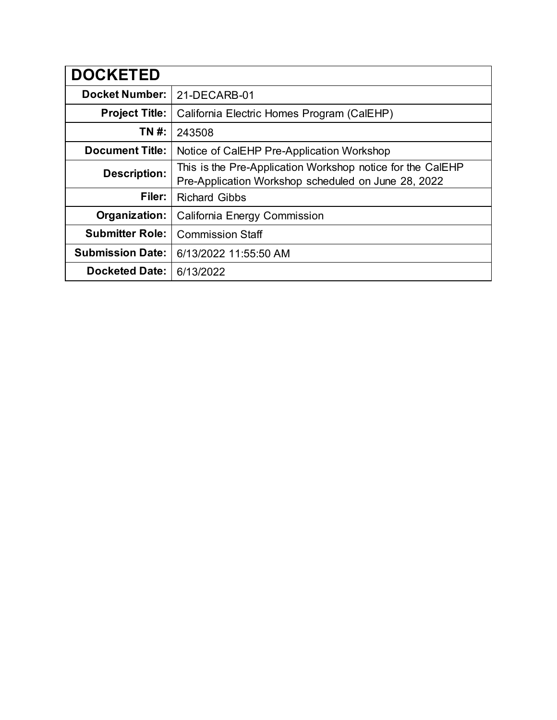| <b>DOCKETED</b>         |                                                                                                                   |
|-------------------------|-------------------------------------------------------------------------------------------------------------------|
| <b>Docket Number:</b>   | 21-DECARB-01                                                                                                      |
| <b>Project Title:</b>   | California Electric Homes Program (CalEHP)                                                                        |
| TN #:                   | 243508                                                                                                            |
| <b>Document Title:</b>  | Notice of CalEHP Pre-Application Workshop                                                                         |
| <b>Description:</b>     | This is the Pre-Application Workshop notice for the CalEHP<br>Pre-Application Workshop scheduled on June 28, 2022 |
| Filer:                  | <b>Richard Gibbs</b>                                                                                              |
| Organization:           | California Energy Commission                                                                                      |
| <b>Submitter Role:</b>  | <b>Commission Staff</b>                                                                                           |
| <b>Submission Date:</b> | 6/13/2022 11:55:50 AM                                                                                             |
| <b>Docketed Date:</b>   | 6/13/2022                                                                                                         |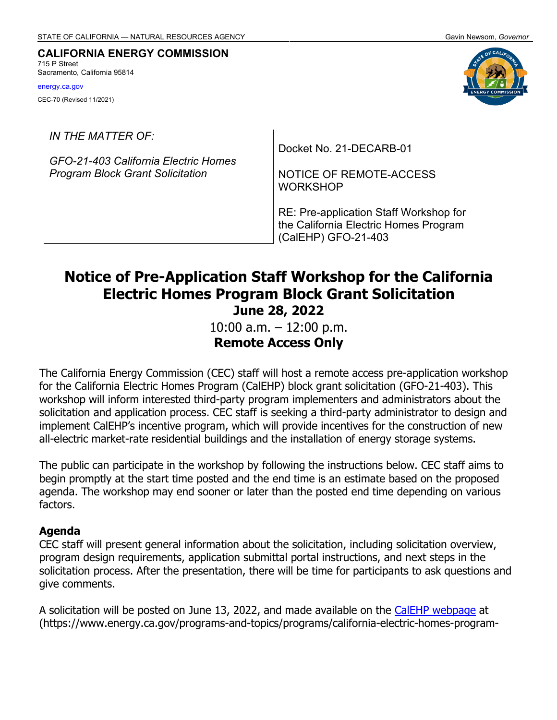#### **CALIFORNIA ENERGY COMMISSION** 715 P Street Sacramento, California 95814

[energy.ca.gov](http://www.energy.ca.gov/) CEC-70 (Revised 11/2021)

*IN THE MATTER OF:*

*GFO-21-403 California Electric Homes Program Block Grant Solicitation* 

Docket No. 21-DECARB-01

NOTICE OF REMOTE-ACCESS WORKSHOP

RE: Pre-application Staff Workshop for the California Electric Homes Program (CalEHP) GFO-21-403

# **Notice of Pre-Application Staff Workshop for the California Electric Homes Program Block Grant Solicitation June 28, 2022**

10:00 a.m. – 12:00 p.m. **Remote Access Only**

The California Energy Commission (CEC) staff will host a remote access pre-application workshop for the California Electric Homes Program (CalEHP) block grant solicitation (GFO-21-403). This workshop will inform interested third-party program implementers and administrators about the solicitation and application process. CEC staff is seeking a third-party administrator to design and implement CalEHP's incentive program, which will provide incentives for the construction of new all-electric market-rate residential buildings and the installation of energy storage systems.

The public can participate in the workshop by following the instructions below. CEC staff aims to begin promptly at the start time posted and the end time is an estimate based on the proposed agenda. The workshop may end sooner or later than the posted end time depending on various factors.

#### **Agenda**

CEC staff will present general information about the solicitation, including solicitation overview, program design requirements, application submittal portal instructions, and next steps in the solicitation process. After the presentation, there will be time for participants to ask questions and give comments.

A solicitation will be posted on June 13, 2022, and made available on the [CalEHP webpage](https://www.energy.ca.gov/programs-and-topics/programs/california-electric-homes-program-calehp) at (https://www.energy.ca.gov/programs-and-topics/programs/california-electric-homes-program-

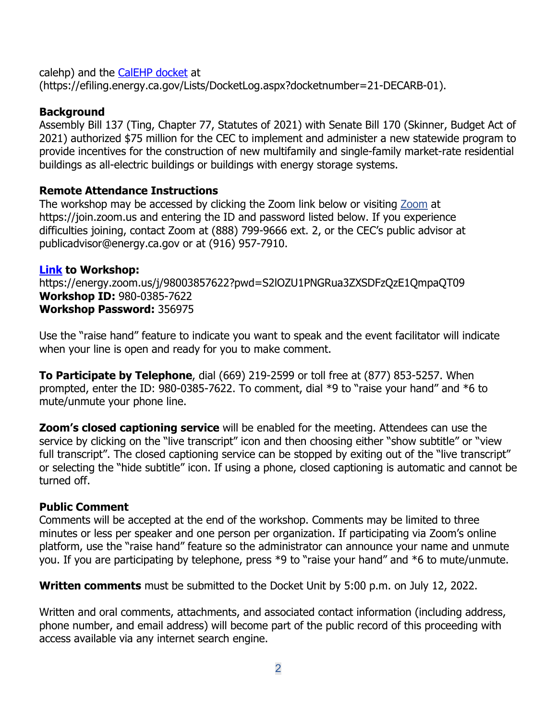calehp) and the [CalEHP docket](https://efiling.energy.ca.gov/Lists/DocketLog.aspx?docketnumber=21-DECARB-01) at (https://efiling.energy.ca.gov/Lists/DocketLog.aspx?docketnumber=21-DECARB-01).

#### **Background**

Assembly Bill 137 (Ting, Chapter 77, Statutes of 2021) with Senate Bill 170 (Skinner, Budget Act of 2021) authorized \$75 million for the CEC to implement and administer a new statewide program to provide incentives for the construction of new multifamily and single-family market-rate residential buildings as all-electric buildings or buildings with energy storage systems.

#### **Remote Attendance Instructions**

The workshop may be accessed by clicking the Zoom link below or visiting [Zoom](https://join.zoom.us/) at https://join.zoom.us and entering the ID and password listed below. If you experience difficulties joining, contact Zoom at (888) 799-9666 ext. 2, or the CEC's public advisor at [publicadvisor@energy.ca.gov](mailto:publicadvisor@energy.ca.gov) or at (916) 957-7910.

#### **[Link](https://energy.zoom.us/j/98003857622?pwd=S2lOZU1PNGRua3ZXSDFzQzE1QmpaQT09) to Workshop:**

https://energy.zoom.us/j/98003857622?pwd=S2lOZU1PNGRua3ZXSDFzQzE1QmpaQT09 **Workshop ID:** 980-0385-7622 **Workshop Password:** 356975

Use the "raise hand" feature to indicate you want to speak and the event facilitator will indicate when your line is open and ready for you to make comment.

**To Participate by Telephone**, dial (669) 219-2599 or toll free at (877) 853-5257. When prompted, enter the ID: 980-0385-7622. To comment, dial \*9 to "raise your hand" and \*6 to mute/unmute your phone line.

**Zoom's closed captioning service** will be enabled for the meeting. Attendees can use the service by clicking on the "live transcript" icon and then choosing either "show subtitle" or "view full transcript". The closed captioning service can be stopped by exiting out of the "live transcript" or selecting the "hide subtitle" icon. If using a phone, closed captioning is automatic and cannot be turned off.

#### **Public Comment**

Comments will be accepted at the end of the workshop. Comments may be limited to three minutes or less per speaker and one person per organization. If participating via Zoom's online platform, use the "raise hand" feature so the administrator can announce your name and unmute you. If you are participating by telephone, press \*9 to "raise your hand" and \*6 to mute/unmute.

**Written comments** must be submitted to the Docket Unit by 5:00 p.m. on July 12, 2022.

Written and oral comments, attachments, and associated contact information (including address, phone number, and email address) will become part of the public record of this proceeding with access available via any internet search engine.